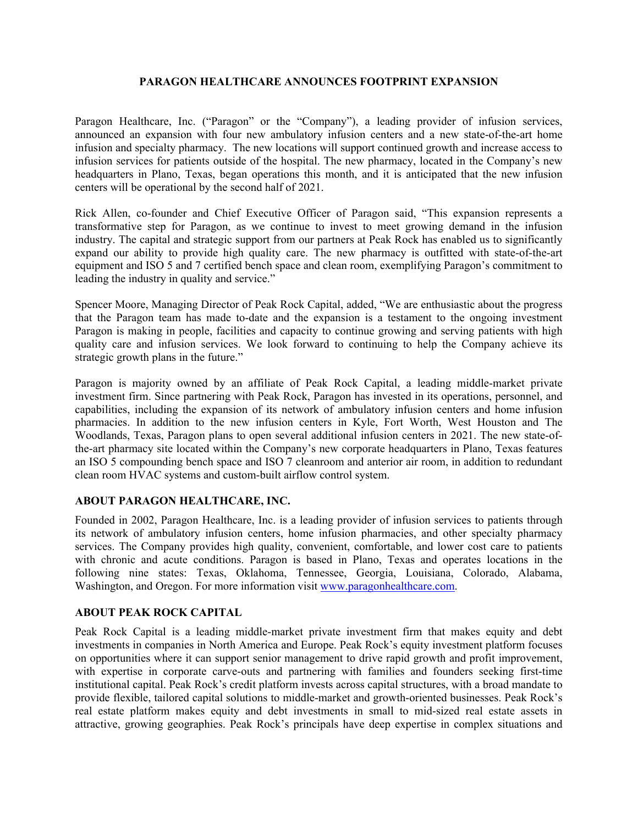## **PARAGON HEALTHCARE ANNOUNCES FOOTPRINT EXPANSION**

Paragon Healthcare, Inc. ("Paragon" or the "Company"), a leading provider of infusion services, announced an expansion with four new ambulatory infusion centers and a new state-of-the-art home infusion and specialty pharmacy. The new locations will support continued growth and increase access to infusion services for patients outside of the hospital. The new pharmacy, located in the Company's new headquarters in Plano, Texas, began operations this month, and it is anticipated that the new infusion centers will be operational by the second half of 2021.

Rick Allen, co-founder and Chief Executive Officer of Paragon said, "This expansion represents a transformative step for Paragon, as we continue to invest to meet growing demand in the infusion industry. The capital and strategic support from our partners at Peak Rock has enabled us to significantly expand our ability to provide high quality care. The new pharmacy is outfitted with state-of-the-art equipment and ISO 5 and 7 certified bench space and clean room, exemplifying Paragon's commitment to leading the industry in quality and service."

Spencer Moore, Managing Director of Peak Rock Capital, added, "We are enthusiastic about the progress that the Paragon team has made to-date and the expansion is a testament to the ongoing investment Paragon is making in people, facilities and capacity to continue growing and serving patients with high quality care and infusion services. We look forward to continuing to help the Company achieve its strategic growth plans in the future."

Paragon is majority owned by an affiliate of Peak Rock Capital, a leading middle-market private investment firm. Since partnering with Peak Rock, Paragon has invested in its operations, personnel, and capabilities, including the expansion of its network of ambulatory infusion centers and home infusion pharmacies. In addition to the new infusion centers in Kyle, Fort Worth, West Houston and The Woodlands, Texas, Paragon plans to open several additional infusion centers in 2021. The new state-ofthe-art pharmacy site located within the Company's new corporate headquarters in Plano, Texas features an ISO 5 compounding bench space and ISO 7 cleanroom and anterior air room, in addition to redundant clean room HVAC systems and custom-built airflow control system.

## **ABOUT PARAGON HEALTHCARE, INC.**

Founded in 2002, Paragon Healthcare, Inc. is a leading provider of infusion services to patients through its network of ambulatory infusion centers, home infusion pharmacies, and other specialty pharmacy services. The Company provides high quality, convenient, comfortable, and lower cost care to patients with chronic and acute conditions. Paragon is based in Plano, Texas and operates locations in the following nine states: Texas, Oklahoma, Tennessee, Georgia, Louisiana, Colorado, Alabama, Washington, and Oregon. For more information visit www.paragonhealthcare.com.

## **ABOUT PEAK ROCK CAPITAL**

Peak Rock Capital is a leading middle-market private investment firm that makes equity and debt investments in companies in North America and Europe. Peak Rock's equity investment platform focuses on opportunities where it can support senior management to drive rapid growth and profit improvement, with expertise in corporate carve-outs and partnering with families and founders seeking first-time institutional capital. Peak Rock's credit platform invests across capital structures, with a broad mandate to provide flexible, tailored capital solutions to middle-market and growth-oriented businesses. Peak Rock's real estate platform makes equity and debt investments in small to mid-sized real estate assets in attractive, growing geographies. Peak Rock's principals have deep expertise in complex situations and